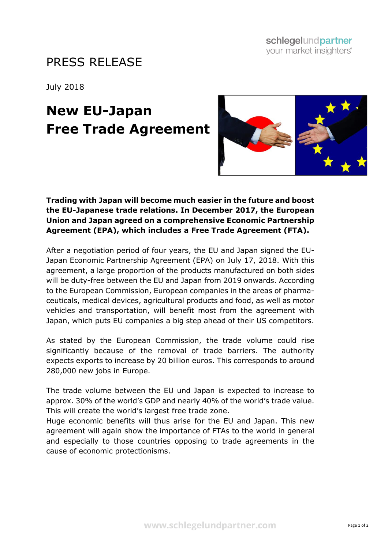# PRESS RELEASE

July 2018

# **New EU-Japan Free Trade Agreement**



## **Trading with Japan will become much easier in the future and boost the EU-Japanese trade relations. In December 2017, the European Union and Japan agreed on a comprehensive Economic Partnership Agreement (EPA), which includes a Free Trade Agreement (FTA).**

After a negotiation period of four years, the EU and Japan signed the EU-Japan Economic Partnership Agreement (EPA) on July 17, 2018. With this agreement, a large proportion of the products manufactured on both sides will be duty-free between the EU and Japan from 2019 onwards. According to the European Commission, European companies in the areas of pharmaceuticals, medical devices, agricultural products and food, as well as motor vehicles and transportation, will benefit most from the agreement with Japan, which puts EU companies a big step ahead of their US competitors.

As stated by the European Commission, the trade volume could rise significantly because of the removal of trade barriers. The authority expects exports to increase by 20 billion euros. This corresponds to around 280,000 new jobs in Europe.

The trade volume between the EU und Japan is expected to increase to approx. 30% of the world's GDP and nearly 40% of the world's trade value. This will create the world's largest free trade zone.

Huge economic benefits will thus arise for the EU and Japan. This new agreement will again show the importance of FTAs to the world in general and especially to those countries opposing to trade agreements in the cause of economic protectionisms.